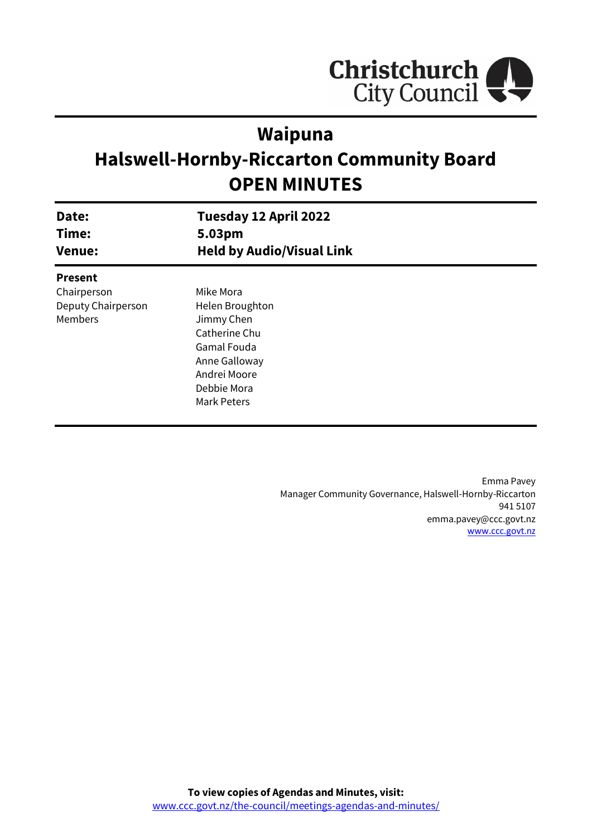

# **Waipuna**

# **Halswell-Hornby-Riccarton Community Board OPEN MINUTES**

| Date:<br>Time:<br><b>Venue:</b> | Tuesday 12 April 2022<br>5.03pm<br><b>Held by Audio/Visual Link</b> |  |
|---------------------------------|---------------------------------------------------------------------|--|
| <b>Present</b>                  |                                                                     |  |
| Chairperson                     | Mike Mora                                                           |  |
| Deputy Chairperson              | Helen Broughton                                                     |  |
| Members                         | Jimmy Chen                                                          |  |
|                                 | Catherine Chu                                                       |  |
|                                 | Gamal Fouda                                                         |  |
|                                 | Anne Galloway                                                       |  |
|                                 | Andrei Moore                                                        |  |
|                                 | Debbie Mora                                                         |  |
|                                 | Mark Peters                                                         |  |
|                                 |                                                                     |  |

Emma Pavey Manager Community Governance, Halswell-Hornby-Riccarton 941 5107 emma.pavey@ccc.govt.nz [www.ccc.govt.nz](http://www.ccc.govt.nz/)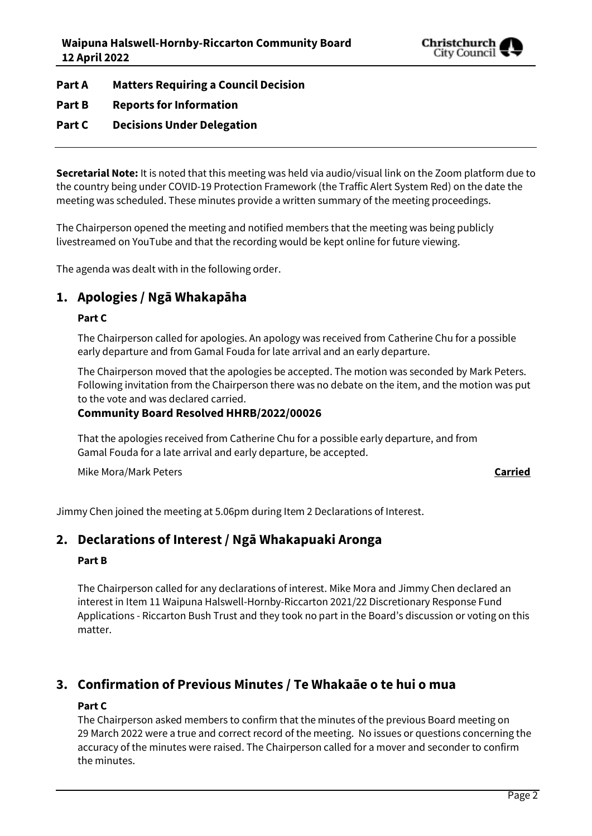

**Part A Matters Requiring a Council Decision**

**Part B Reports for Information**

## **Part C Decisions Under Delegation**

**Secretarial Note:** It is noted that this meeting was held via audio/visual link on the Zoom platform due to the country being under COVID-19 Protection Framework (the Traffic Alert System Red) on the date the meeting was scheduled. These minutes provide a written summary of the meeting proceedings.

The Chairperson opened the meeting and notified members that the meeting was being publicly livestreamed on YouTube and that the recording would be kept online for future viewing.

The agenda was dealt with in the following order.

## **1. Apologies / Ngā Whakapāha**

#### **Part C**

The Chairperson called for apologies. An apology was received from Catherine Chu for a possible early departure and from Gamal Fouda for late arrival and an early departure.

The Chairperson moved that the apologies be accepted. The motion was seconded by Mark Peters. Following invitation from the Chairperson there was no debate on the item, and the motion was put to the vote and was declared carried.

## **Community Board Resolved HHRB/2022/00026**

That the apologies received from Catherine Chu for a possible early departure, and from Gamal Fouda for a late arrival and early departure, be accepted.

Mike Mora/Mark Peters **Carried**

Jimmy Chen joined the meeting at 5.06pm during Item 2 Declarations of Interest.

## **2. Declarations of Interest / Ngā Whakapuaki Aronga**

#### **Part B**

The Chairperson called for any declarations of interest. Mike Mora and Jimmy Chen declared an interest in Item 11 Waipuna Halswell-Hornby-Riccarton 2021/22 Discretionary Response Fund Applications - Riccarton Bush Trust and they took no part in the Board's discussion or voting on this matter.

## **3. Confirmation of Previous Minutes / Te Whakaāe o te hui o mua**

## **Part C**

The Chairperson asked members to confirm that the minutes of the previous Board meeting on 29 March 2022 were a true and correct record of the meeting. No issues or questions concerning the accuracy of the minutes were raised. The Chairperson called for a mover and seconder to confirm the minutes.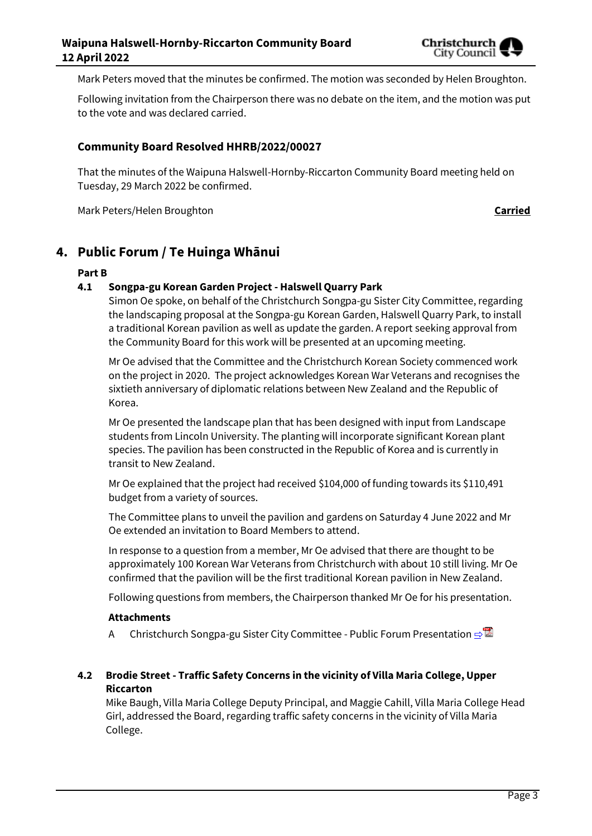

Mark Peters moved that the minutes be confirmed. The motion was seconded by Helen Broughton.

Following invitation from the Chairperson there was no debate on the item, and the motion was put to the vote and was declared carried.

### **Community Board Resolved HHRB/2022/00027**

That the minutes of the Waipuna Halswell-Hornby-Riccarton Community Board meeting held on Tuesday, 29 March 2022 be confirmed.

Mark Peters/Helen Broughton **Carried**

## **4. Public Forum / Te Huinga Whānui**

#### **Part B**

#### **4.1 Songpa-gu Korean Garden Project - Halswell Quarry Park**

Simon Oe spoke, on behalf of the Christchurch Songpa-gu Sister City Committee, regarding the landscaping proposal at the Songpa-gu Korean Garden, Halswell Quarry Park, to install a traditional Korean pavilion as well as update the garden. A report seeking approval from the Community Board for this work will be presented at an upcoming meeting.

Mr Oe advised that the Committee and the Christchurch Korean Society commenced work on the project in 2020. The project acknowledges Korean War Veterans and recognises the sixtieth anniversary of diplomatic relations between New Zealand and the Republic of Korea.

Mr Oe presented the landscape plan that has been designed with input from Landscape students from Lincoln University. The planting will incorporate significant Korean plant species. The pavilion has been constructed in the Republic of Korea and is currently in transit to New Zealand.

Mr Oe explained that the project had received \$104,000 of funding towards its \$110,491 budget from a variety of sources.

The Committee plans to unveil the pavilion and gardens on Saturday 4 June 2022 and Mr Oe extended an invitation to Board Members to attend.

In response to a question from a member, Mr Oe advised that there are thought to be approximately 100 Korean War Veterans from Christchurch with about 10 still living. Mr Oe confirmed that the pavilion will be the first traditional Korean pavilion in New Zealand.

Following questions from members, the Chairperson thanked Mr Oe for his presentation.

#### **Attachments**

A Christchurch Songpa-gu Sister City Committee - Public Forum Presentation **[⇨](../../../RedirectToInvalidFileName.aspx?FileName=HHRB_20220412_MAT_7633.PDF#PAGE=3)</u>** 

### **4.2 Brodie Street - Traffic Safety Concerns in the vicinity of Villa Maria College, Upper Riccarton**

Mike Baugh, Villa Maria College Deputy Principal, and Maggie Cahill, Villa Maria College Head Girl, addressed the Board, regarding traffic safety concerns in the vicinity of Villa Maria College.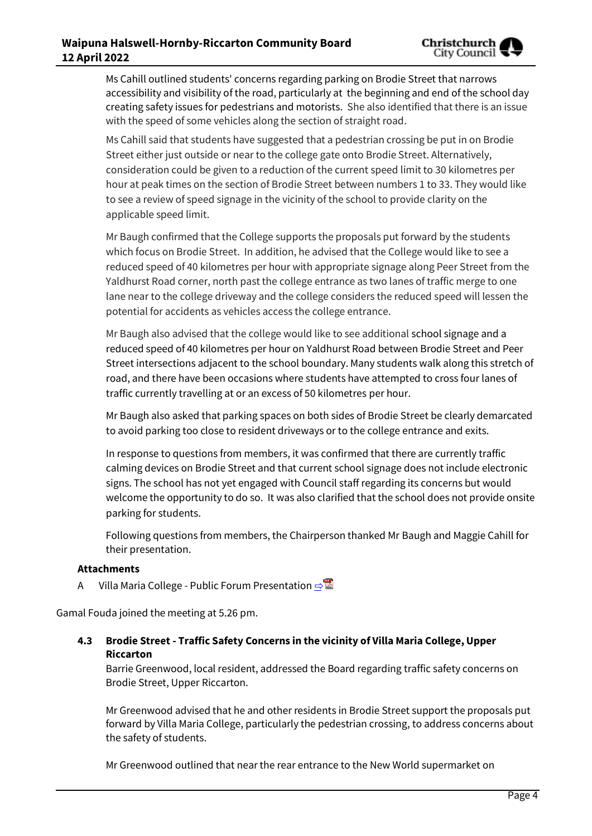Ms Cahill outlined students' concerns regarding parking on Brodie Street that narrows accessibility and visibility of the road, particularly at the beginning and end of the school day creating safety issues for pedestrians and motorists. She also identified that there is an issue with the speed of some vehicles along the section of straight road.

Ms Cahill said that students have suggested that a pedestrian crossing be put in on Brodie Street either just outside or near to the college gate onto Brodie Street. Alternatively, consideration could be given to a reduction of the current speed limit to 30 kilometres per hour at peak times on the section of Brodie Street between numbers 1 to 33. They would like to see a review of speed signage in the vicinity of the school to provide clarity on the applicable speed limit.

Mr Baugh confirmed that the College supports the proposals put forward by the students which focus on Brodie Street. In addition, he advised that the College would like to see a reduced speed of 40 kilometres per hour with appropriate signage along Peer Street from the Yaldhurst Road corner, north past the college entrance as two lanes of traffic merge to one lane near to the college driveway and the college considers the reduced speed will lessen the potential for accidents as vehicles access the college entrance.

Mr Baugh also advised that the college would like to see additional school signage and a reduced speed of 40 kilometres per hour on Yaldhurst Road between Brodie Street and Peer Street intersections adjacent to the school boundary. Many students walk along this stretch of road, and there have been occasions where students have attempted to cross four lanes of traffic currently travelling at or an excess of 50 kilometres per hour.

Mr Baugh also asked that parking spaces on both sides of Brodie Street be clearly demarcated to avoid parking too close to resident driveways or to the college entrance and exits.

In response to questions from members, it was confirmed that there are currently traffic calming devices on Brodie Street and that current school signage does not include electronic signs. The school has not yet engaged with Council staff regarding its concerns but would welcome the opportunity to do so. It was also clarified that the school does not provide onsite parking for students.

Following questions from members, the Chairperson thanked Mr Baugh and Maggie Cahill for their presentation.

#### **Attachments**

A Villa Maria College - Public Forum Presentation **[⇨](../../../RedirectToInvalidFileName.aspx?FileName=HHRB_20220412_MAT_7633.PDF#PAGE=12)</u>** 

Gamal Fouda joined the meeting at 5.26 pm.

**4.3 Brodie Street - Traffic Safety Concerns in the vicinity of Villa Maria College, Upper Riccarton**

Barrie Greenwood, local resident, addressed the Board regarding traffic safety concerns on Brodie Street, Upper Riccarton.

Mr Greenwood advised that he and other residents in Brodie Street support the proposals put forward by Villa Maria College, particularly the pedestrian crossing, to address concerns about the safety of students.

Mr Greenwood outlined that near the rear entrance to the New World supermarket on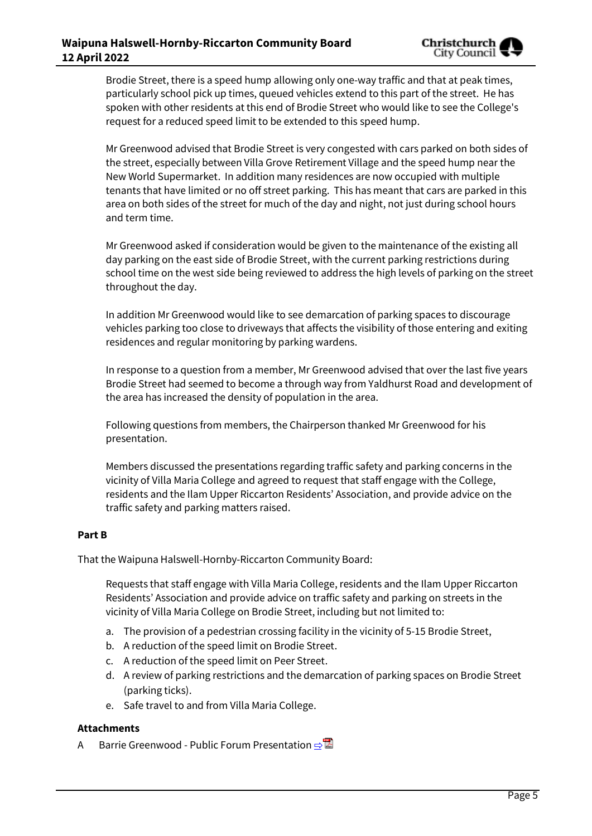Brodie Street, there is a speed hump allowing only one-way traffic and that at peak times, particularly school pick up times, queued vehicles extend to this part of the street. He has spoken with other residents at this end of Brodie Street who would like to see the College's request for a reduced speed limit to be extended to this speed hump.

Mr Greenwood advised that Brodie Street is very congested with cars parked on both sides of the street, especially between Villa Grove Retirement Village and the speed hump near the New World Supermarket. In addition many residences are now occupied with multiple tenants that have limited or no off street parking. This has meant that cars are parked in this area on both sides of the street for much of the day and night, not just during school hours and term time.

Mr Greenwood asked if consideration would be given to the maintenance of the existing all day parking on the east side of Brodie Street, with the current parking restrictions during school time on the west side being reviewed to address the high levels of parking on the street throughout the day.

In addition Mr Greenwood would like to see demarcation of parking spaces to discourage vehicles parking too close to driveways that affects the visibility of those entering and exiting residences and regular monitoring by parking wardens.

In response to a question from a member, Mr Greenwood advised that over the last five years Brodie Street had seemed to become a through way from Yaldhurst Road and development of the area has increased the density of population in the area.

Following questions from members, the Chairperson thanked Mr Greenwood for his presentation.

Members discussed the presentations regarding traffic safety and parking concerns in the vicinity of Villa Maria College and agreed to request that staff engage with the College, residents and the Ilam Upper Riccarton Residents' Association, and provide advice on the traffic safety and parking matters raised.

#### **Part B**

That the Waipuna Halswell-Hornby-Riccarton Community Board:

Requests that staff engage with Villa Maria College, residents and the Ilam Upper Riccarton Residents' Association and provide advice on traffic safety and parking on streets in the vicinity of Villa Maria College on Brodie Street, including but not limited to:

- a. The provision of a pedestrian crossing facility in the vicinity of 5-15 Brodie Street,
- b. A reduction of the speed limit on Brodie Street.
- c. A reduction of the speed limit on Peer Street.
- d. A review of parking restrictions and the demarcation of parking spaces on Brodie Street (parking ticks).
- e. Safe travel to and from Villa Maria College.

#### **Attachments**

A Barrie Greenwood - Public Forum Presentation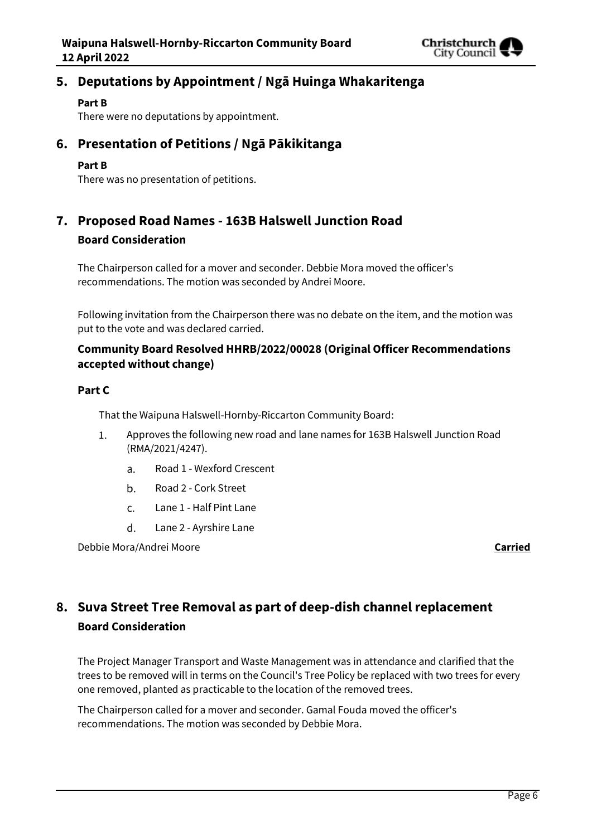

## **5. Deputations by Appointment / Ngā Huinga Whakaritenga**

#### **Part B**

There were no deputations by appointment.

## **6. Presentation of Petitions / Ngā Pākikitanga**

#### **Part B**

There was no presentation of petitions.

## **7. Proposed Road Names - 163B Halswell Junction Road Board Consideration**

The Chairperson called for a mover and seconder. Debbie Mora moved the officer's recommendations. The motion was seconded by Andrei Moore.

Following invitation from the Chairperson there was no debate on the item, and the motion was put to the vote and was declared carried.

## **Community Board Resolved HHRB/2022/00028 (Original Officer Recommendations accepted without change)**

#### **Part C**

That the Waipuna Halswell-Hornby-Riccarton Community Board:

- $1.$ Approves the following new road and lane names for 163B Halswell Junction Road (RMA/2021/4247).
	- Road 1 Wexford Crescent  $a<sub>z</sub>$
	- $\mathbf{b}$ . Road 2 - Cork Street
	- Lane 1 Half Pint Lane  $C<sub>1</sub>$
	- d. Lane 2 - Ayrshire Lane

Debbie Mora/Andrei Moore **Carried**

## **8. Suva Street Tree Removal as part of deep-dish channel replacement Board Consideration**

The Project Manager Transport and Waste Management was in attendance and clarified that the trees to be removed will in terms on the Council's Tree Policy be replaced with two trees for every one removed, planted as practicable to the location of the removed trees.

The Chairperson called for a mover and seconder. Gamal Fouda moved the officer's recommendations. The motion was seconded by Debbie Mora.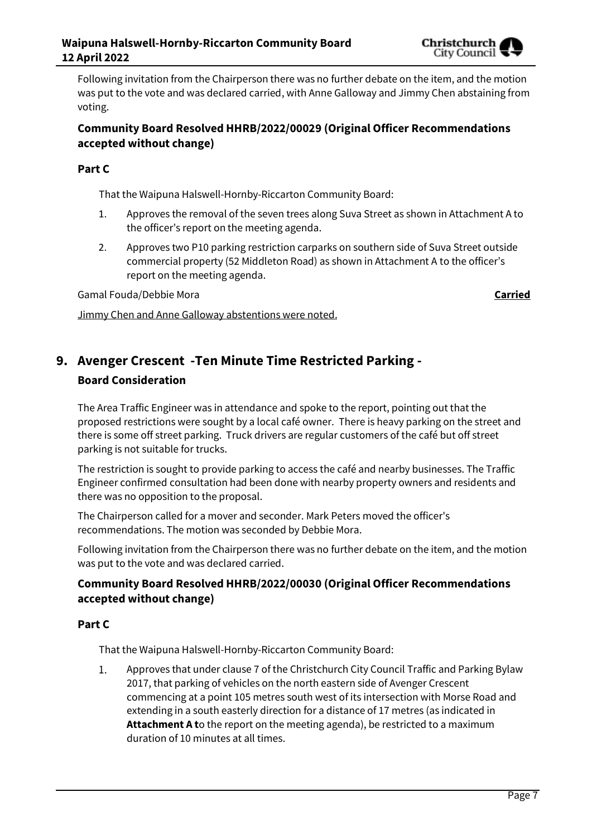

## **Community Board Resolved HHRB/2022/00029 (Original Officer Recommendations accepted without change)**

## **Part C**

That the Waipuna Halswell-Hornby-Riccarton Community Board:

- 1. Approves the removal of the seven trees along Suva Street as shown in Attachment A to the officer's report on the meeting agenda.
- 2. Approves two P10 parking restriction carparks on southern side of Suva Street outside commercial property (52 Middleton Road) as shown in Attachment A to the officer's report on the meeting agenda.

Gamal Fouda/Debbie Mora **Carried**

Jimmy Chen and Anne Galloway abstentions were noted.

# **9. Avenger Crescent -Ten Minute Time Restricted Parking - Board Consideration**

The Area Traffic Engineer was in attendance and spoke to the report, pointing out that the proposed restrictions were sought by a local café owner. There is heavy parking on the street and there is some off street parking. Truck drivers are regular customers of the café but off street parking is not suitable for trucks.

The restriction is sought to provide parking to access the café and nearby businesses. The Traffic Engineer confirmed consultation had been done with nearby property owners and residents and there was no opposition to the proposal.

The Chairperson called for a mover and seconder. Mark Peters moved the officer's recommendations. The motion was seconded by Debbie Mora.

Following invitation from the Chairperson there was no further debate on the item, and the motion was put to the vote and was declared carried.

## **Community Board Resolved HHRB/2022/00030 (Original Officer Recommendations accepted without change)**

## **Part C**

That the Waipuna Halswell-Hornby-Riccarton Community Board:

Approves that under clause 7 of the Christchurch City Council Traffic and Parking Bylaw  $1.$ 2017, that parking of vehicles on the north eastern side of Avenger Crescent commencing at a point 105 metres south west of its intersection with Morse Road and extending in a south easterly direction for a distance of 17 metres (as indicated in **Attachment A t**o the report on the meeting agenda), be restricted to a maximum duration of 10 minutes at all times.

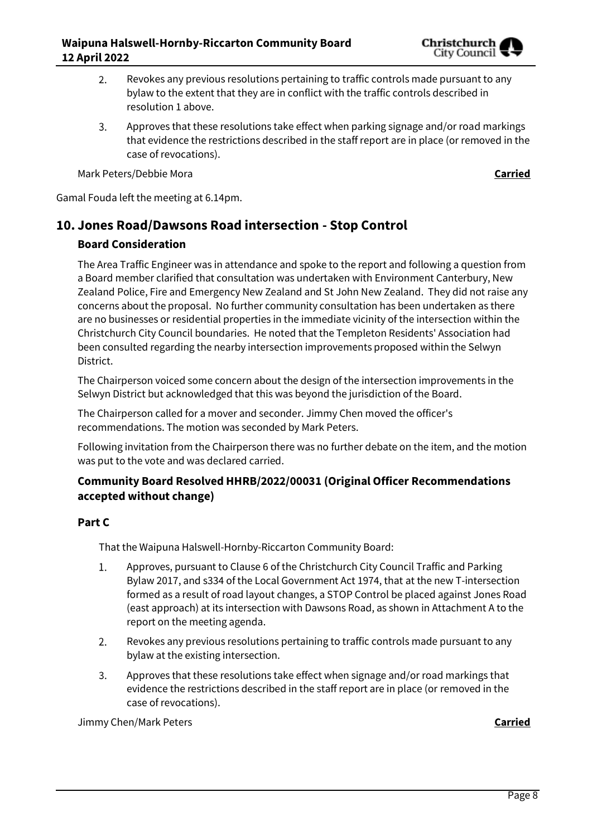

- Revokes any previous resolutions pertaining to traffic controls made pursuant to any 2. bylaw to the extent that they are in conflict with the traffic controls described in resolution 1 above.
- $\overline{3}$ . Approves that these resolutions take effect when parking signage and/or road markings that evidence the restrictions described in the staff report are in place (or removed in the case of revocations).

Mark Peters/Debbie Mora **Carried**

Gamal Fouda left the meeting at 6.14pm.

# **10. Jones Road/Dawsons Road intersection - Stop Control Board Consideration**

The Area Traffic Engineer was in attendance and spoke to the report and following a question from a Board member clarified that consultation was undertaken with Environment Canterbury, New Zealand Police, Fire and Emergency New Zealand and St John New Zealand. They did not raise any concerns about the proposal. No further community consultation has been undertaken as there are no businesses or residential properties in the immediate vicinity of the intersection within the Christchurch City Council boundaries. He noted that the Templeton Residents' Association had been consulted regarding the nearby intersection improvements proposed within the Selwyn District.

The Chairperson voiced some concern about the design of the intersection improvements in the Selwyn District but acknowledged that this was beyond the jurisdiction of the Board.

The Chairperson called for a mover and seconder. Jimmy Chen moved the officer's recommendations. The motion was seconded by Mark Peters.

Following invitation from the Chairperson there was no further debate on the item, and the motion was put to the vote and was declared carried.

## **Community Board Resolved HHRB/2022/00031 (Original Officer Recommendations accepted without change)**

## **Part C**

That the Waipuna Halswell-Hornby-Riccarton Community Board:

- 1. Approves, pursuant to Clause 6 of the Christchurch City Council Traffic and Parking Bylaw 2017, and s334 of the Local Government Act 1974, that at the new T-intersection formed as a result of road layout changes, a STOP Control be placed against Jones Road (east approach) at its intersection with Dawsons Road, as shown in Attachment A to the report on the meeting agenda.
- Revokes any previous resolutions pertaining to traffic controls made pursuant to any 2. bylaw at the existing intersection.
- 3. Approves that these resolutions take effect when signage and/or road markings that evidence the restrictions described in the staff report are in place (or removed in the case of revocations).

Jimmy Chen/Mark Peters **Carried**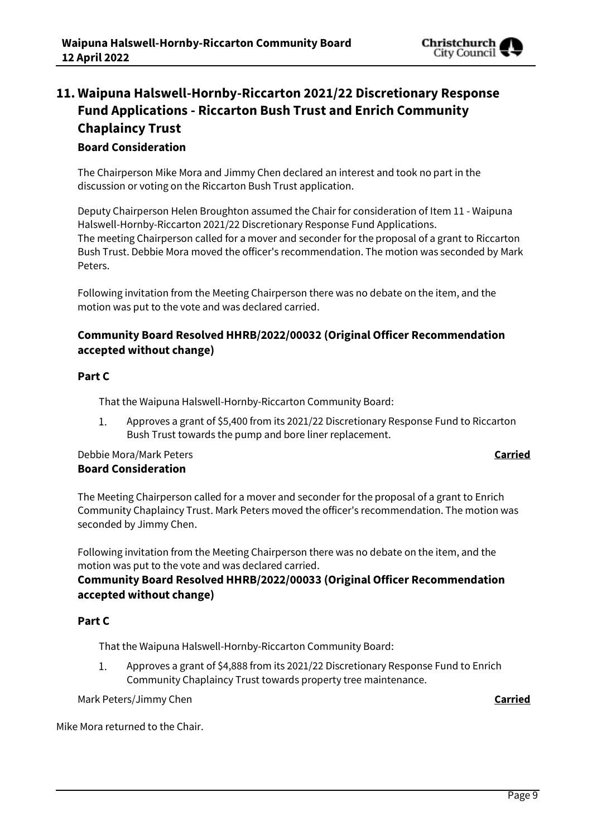

# **11. Waipuna Halswell-Hornby-Riccarton 2021/22 Discretionary Response Fund Applications - Riccarton Bush Trust and Enrich Community Chaplaincy Trust**

## **Board Consideration**

The Chairperson Mike Mora and Jimmy Chen declared an interest and took no part in the discussion or voting on the Riccarton Bush Trust application.

Deputy Chairperson Helen Broughton assumed the Chair for consideration of Item 11 - Waipuna Halswell-Hornby-Riccarton 2021/22 Discretionary Response Fund Applications. The meeting Chairperson called for a mover and seconder for the proposal of a grant to Riccarton Bush Trust. Debbie Mora moved the officer's recommendation. The motion was seconded by Mark Peters.

Following invitation from the Meeting Chairperson there was no debate on the item, and the motion was put to the vote and was declared carried.

## **Community Board Resolved HHRB/2022/00032 (Original Officer Recommendation accepted without change)**

### **Part C**

That the Waipuna Halswell-Hornby-Riccarton Community Board:

 $1.$ Approves a grant of \$5,400 from its 2021/22 Discretionary Response Fund to Riccarton Bush Trust towards the pump and bore liner replacement.

## Debbie Mora/Mark Peters **Carried Board Consideration**

The Meeting Chairperson called for a mover and seconder for the proposal of a grant to Enrich Community Chaplaincy Trust. Mark Peters moved the officer's recommendation. The motion was seconded by Jimmy Chen.

Following invitation from the Meeting Chairperson there was no debate on the item, and the motion was put to the vote and was declared carried.

## **Community Board Resolved HHRB/2022/00033 (Original Officer Recommendation accepted without change)**

## **Part C**

That the Waipuna Halswell-Hornby-Riccarton Community Board:

1. Approves a grant of \$4,888 from its 2021/22 Discretionary Response Fund to Enrich Community Chaplaincy Trust towards property tree maintenance.

Mark Peters/Jimmy Chen **Carried**

Mike Mora returned to the Chair.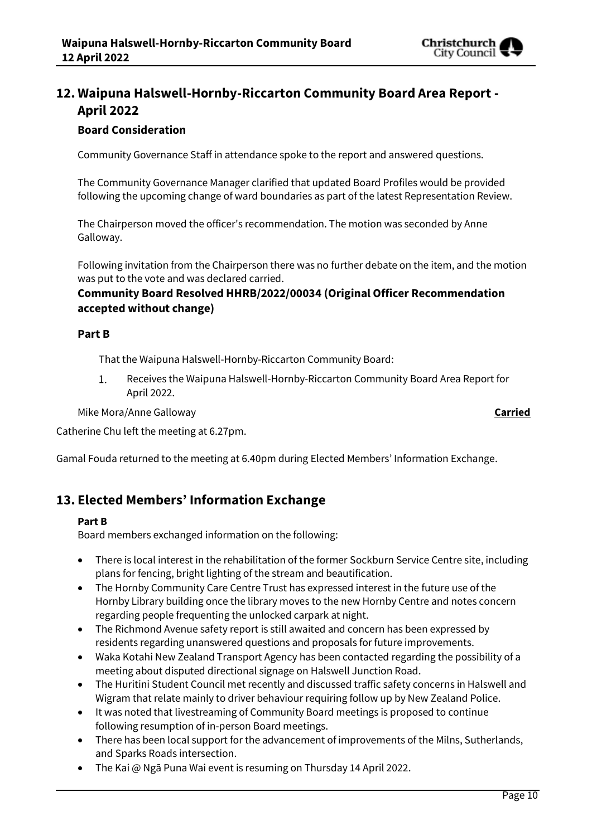

## **12. Waipuna Halswell-Hornby-Riccarton Community Board Area Report - April 2022**

## **Board Consideration**

Community Governance Staff in attendance spoke to the report and answered questions.

The Community Governance Manager clarified that updated Board Profiles would be provided following the upcoming change of ward boundaries as part of the latest Representation Review.

The Chairperson moved the officer's recommendation. The motion was seconded by Anne Galloway.

Following invitation from the Chairperson there was no further debate on the item, and the motion was put to the vote and was declared carried.

## **Community Board Resolved HHRB/2022/00034 (Original Officer Recommendation accepted without change)**

#### **Part B**

That the Waipuna Halswell-Hornby-Riccarton Community Board:

 $1.$ Receives the Waipuna Halswell-Hornby-Riccarton Community Board Area Report for April 2022.

Mike Mora/Anne Galloway **Carried**

Catherine Chu left the meeting at 6.27pm.

Gamal Fouda returned to the meeting at 6.40pm during Elected Members' Information Exchange.

## **13. Elected Members' Information Exchange**

#### **Part B**

Board members exchanged information on the following:

- There is local interest in the rehabilitation of the former Sockburn Service Centre site, including plans for fencing, bright lighting of the stream and beautification.
- The Hornby Community Care Centre Trust has expressed interest in the future use of the Hornby Library building once the library moves to the new Hornby Centre and notes concern regarding people frequenting the unlocked carpark at night.
- The Richmond Avenue safety report is still awaited and concern has been expressed by residents regarding unanswered questions and proposals for future improvements.
- Waka Kotahi New Zealand Transport Agency has been contacted regarding the possibility of a meeting about disputed directional signage on Halswell Junction Road.
- The Huritini Student Council met recently and discussed traffic safety concerns in Halswell and Wigram that relate mainly to driver behaviour requiring follow up by New Zealand Police.
- It was noted that livestreaming of Community Board meetings is proposed to continue following resumption of in-person Board meetings.
- There has been local support for the advancement of improvements of the Milns, Sutherlands, and Sparks Roads intersection.
- The Kai @ Ngā Puna Wai event is resuming on Thursday 14 April 2022.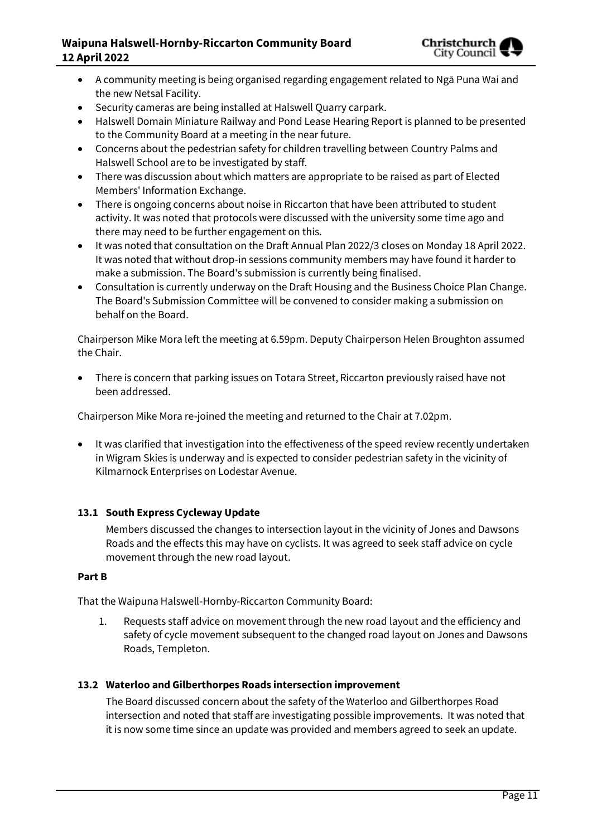## **Waipuna Halswell-Hornby-Riccarton Community Board 12 April 2022**



- A community meeting is being organised regarding engagement related to Ngā Puna Wai and the new Netsal Facility.
- Security cameras are being installed at Halswell Quarry carpark.
- Halswell Domain Miniature Railway and Pond Lease Hearing Report is planned to be presented to the Community Board at a meeting in the near future.
- Concerns about the pedestrian safety for children travelling between Country Palms and Halswell School are to be investigated by staff.
- There was discussion about which matters are appropriate to be raised as part of Elected Members' Information Exchange.
- There is ongoing concerns about noise in Riccarton that have been attributed to student activity. It was noted that protocols were discussed with the university some time ago and there may need to be further engagement on this.
- It was noted that consultation on the Draft Annual Plan 2022/3 closes on Monday 18 April 2022. It was noted that without drop-in sessions community members may have found it harder to make a submission. The Board's submission is currently being finalised.
- Consultation is currently underway on the Draft Housing and the Business Choice Plan Change. The Board's Submission Committee will be convened to consider making a submission on behalf on the Board.

Chairperson Mike Mora left the meeting at 6.59pm. Deputy Chairperson Helen Broughton assumed the Chair.

 There is concern that parking issues on Totara Street, Riccarton previously raised have not been addressed.

Chairperson Mike Mora re-joined the meeting and returned to the Chair at 7.02pm.

 It was clarified that investigation into the effectiveness of the speed review recently undertaken in Wigram Skies is underway and is expected to consider pedestrian safety in the vicinity of Kilmarnock Enterprises on Lodestar Avenue.

#### **13.1 South Express Cycleway Update**

Members discussed the changes to intersection layout in the vicinity of Jones and Dawsons Roads and the effects this may have on cyclists. It was agreed to seek staff advice on cycle movement through the new road layout.

#### **Part B**

That the Waipuna Halswell-Hornby-Riccarton Community Board:

1. Requests staff advice on movement through the new road layout and the efficiency and safety of cycle movement subsequent to the changed road layout on Jones and Dawsons Roads, Templeton.

#### **13.2 Waterloo and Gilberthorpes Roads intersection improvement**

The Board discussed concern about the safety of the Waterloo and Gilberthorpes Road intersection and noted that staff are investigating possible improvements. It was noted that it is now some time since an update was provided and members agreed to seek an update.